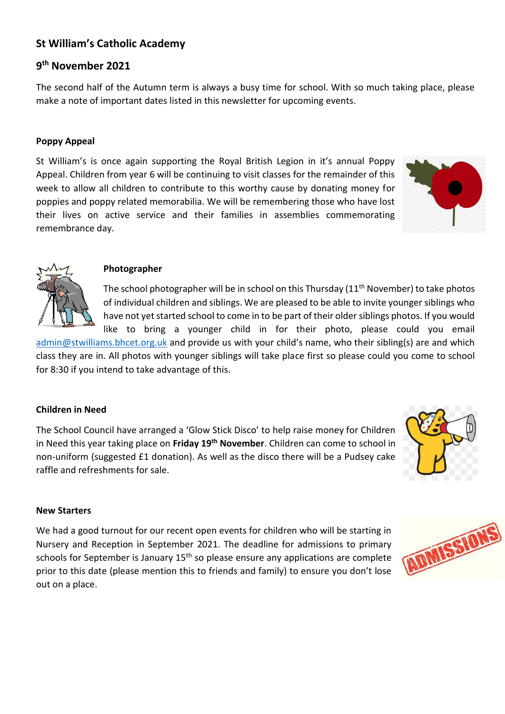# **St William's Catholic Academy**

# **9 th November 2021**

The second half of the Autumn term is always a busy time for school. With so much taking place, please make a note of important dates listed in this newsletter for upcoming events.

#### **Poppy Appeal**

St William's is once again supporting the Royal British Legion in it's annual Poppy Appeal. Children from year 6 will be continuing to visit classes for the remainder of this week to allow all children to contribute to this worthy cause by donating money for poppies and poppy related memorabilia. We will be remembering those who have lost their lives on active service and their families in assemblies commemorating remembrance day.





#### **Photographer**

The school photographer will be in school on this Thursday (11<sup>th</sup> November) to take photos of individual children and siblings. We are pleased to be able to invite younger siblings who have not yet started school to come in to be part of their older siblings photos. If you would like to bring a younger child in for their photo, please could you email

[admin@stwilliams.bhcet.org.uk](mailto:admin@stwilliams.bhcet.org.uk) and provide us with your child's name, who their sibling(s) are and which class they are in. All photos with younger siblings will take place first so please could you come to school for 8:30 if you intend to take advantage of this.

### **Children in Need**

The School Council have arranged a 'Glow Stick Disco' to help raise money for Children in Need this year taking place on **Friday 19th November**. Children can come to school in non-uniform (suggested £1 donation). As well as the disco there will be a Pudsey cake raffle and refreshments for sale.



#### **New Starters**

We had a good turnout for our recent open events for children who will be starting in Nursery and Reception in September 2021. The deadline for admissions to primary schools for September is January 15<sup>th</sup> so please ensure any applications are complete prior to this date (please mention this to friends and family) to ensure you don't lose out on a place.